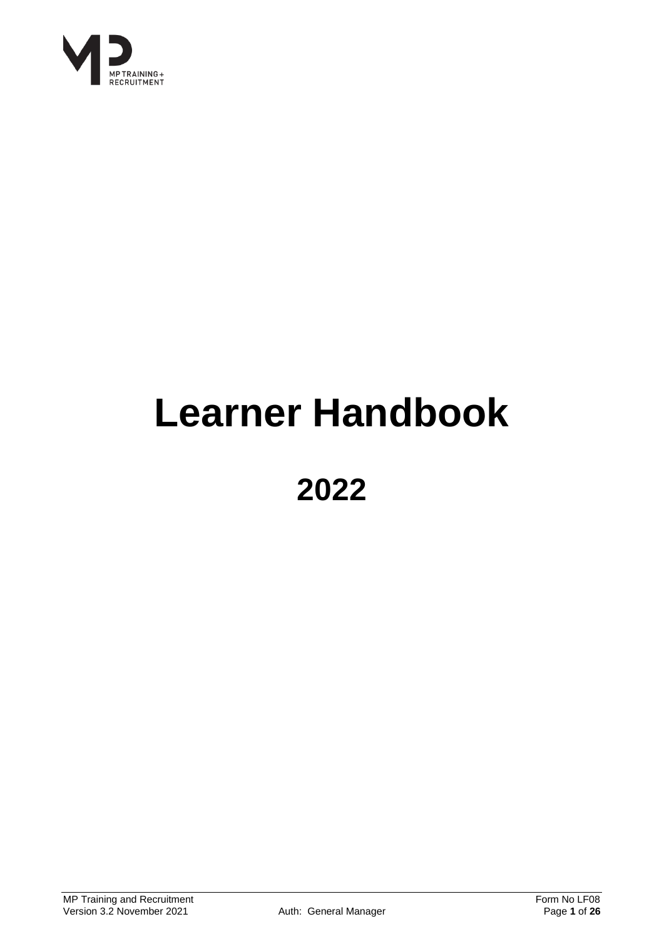

## **Learner Handbook**

## **2022**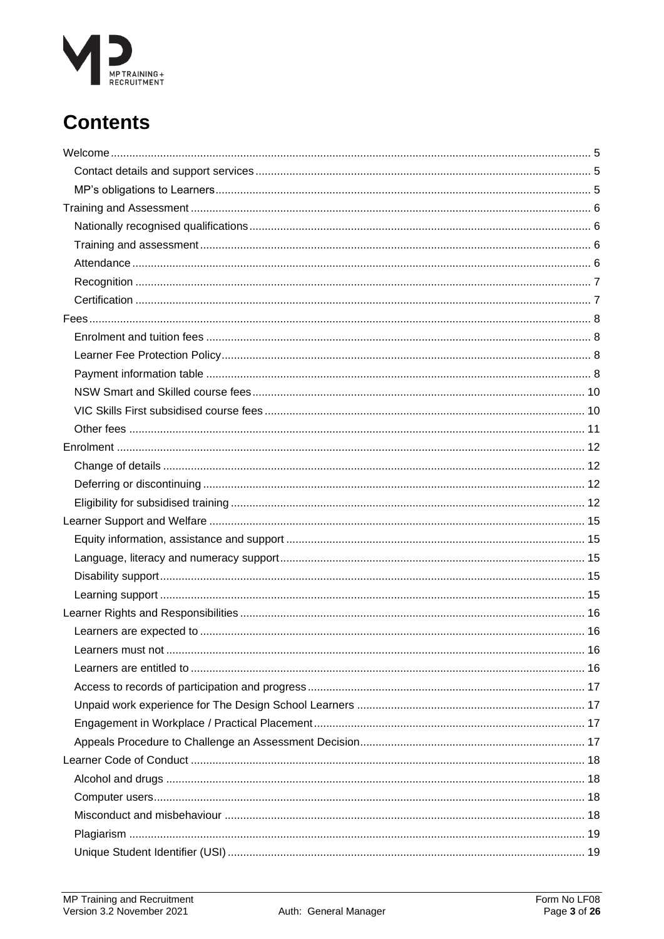# MP TRAINING +<br>RECRUITMENT

### **Contents**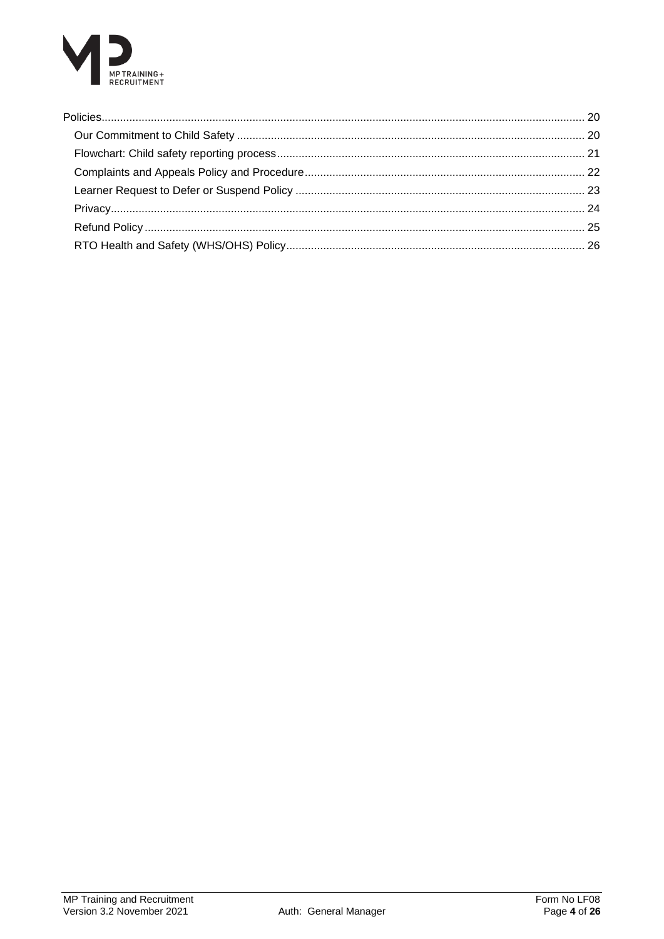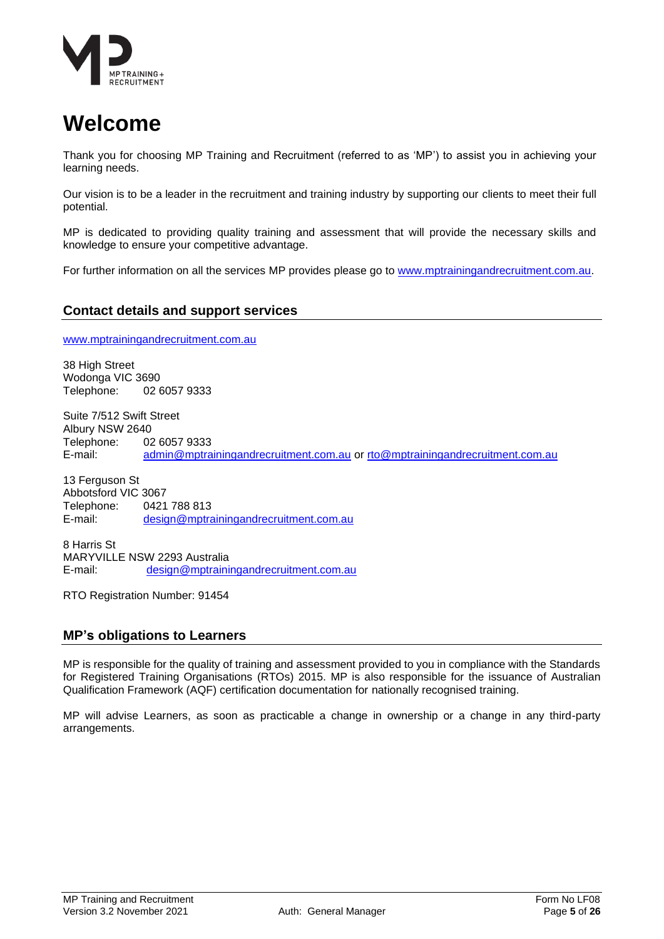

### <span id="page-4-0"></span>**Welcome**

Thank you for choosing MP Training and Recruitment (referred to as 'MP') to assist you in achieving your learning needs.

Our vision is to be a leader in the recruitment and training industry by supporting our clients to meet their full potential.

MP is dedicated to providing quality training and assessment that will provide the necessary skills and knowledge to ensure your competitive advantage.

For further information on all the services MP provides please go to [www.mptrainingandrecruitment.com.au.](http://www.mptrainingandrecruitment.com.au/)

### <span id="page-4-1"></span>**Contact details and support services**

[www.mptrainingandrecruitment.com.au](http://www.mptrainingandrecruitment.com.au/)

38 High Street Wodonga VIC 3690 Telephone: 02 6057 9333

Suite 7/512 Swift Street Albury NSW 2640 Telephone: 02 6057 9333 E-mail: [admin@mptrainingandrecruitment.com.au](mailto:admin@mptrainingandrecruitment.com.au) or [rto@mptrainingandrecruitment.com.au](mailto:rto@mptrainingandrecruitment.com.au)

13 Ferguson St Abbotsford VIC 3067 Telephone:  $0421 788 813$ <br>E-mail: design@mptra [design@mptrainingandrecruitment.com.au](mailto:design@mptrainingandrecruitment.com.au)

8 Harris St MARYVILLE NSW 2293 Australia E-mail: [design@mptrainingandrecruitment.com.au](mailto:design@mptrainingandrecruitment.com.au)

RTO Registration Number: 91454

### <span id="page-4-2"></span>**MP's obligations to Learners**

MP is responsible for the quality of training and assessment provided to you in compliance with the Standards for Registered Training Organisations (RTOs) 2015. MP is also responsible for the issuance of Australian Qualification Framework (AQF) certification documentation for nationally recognised training.

MP will advise Learners, as soon as practicable a change in ownership or a change in any third-party arrangements.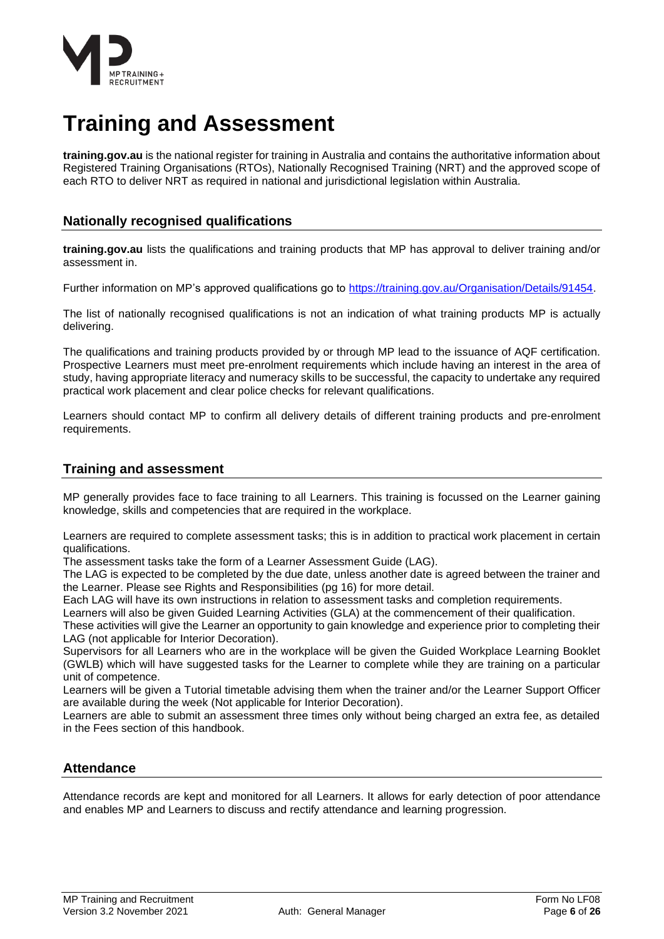

### <span id="page-5-0"></span>**Training and Assessment**

**training.gov.au** is the national register for training in Australia and contains the authoritative information about Registered Training Organisations (RTOs), Nationally Recognised Training (NRT) and the approved scope of each RTO to deliver NRT as required in national and jurisdictional legislation within Australia.

### <span id="page-5-1"></span>**Nationally recognised qualifications**

**training.gov.au** lists the qualifications and training products that MP has approval to deliver training and/or assessment in.

Further information on MP's approved qualifications go to [https://training.gov.au/Organisation/Details/91454.](https://training.gov.au/Organisation/Details/91454)

The list of nationally recognised qualifications is not an indication of what training products MP is actually delivering.

The qualifications and training products provided by or through MP lead to the issuance of AQF certification. Prospective Learners must meet pre-enrolment requirements which include having an interest in the area of study, having appropriate literacy and numeracy skills to be successful, the capacity to undertake any required practical work placement and clear police checks for relevant qualifications.

Learners should contact MP to confirm all delivery details of different training products and pre-enrolment requirements.

### <span id="page-5-2"></span>**Training and assessment**

MP generally provides face to face training to all Learners. This training is focussed on the Learner gaining knowledge, skills and competencies that are required in the workplace.

Learners are required to complete assessment tasks; this is in addition to practical work placement in certain qualifications.

The assessment tasks take the form of a Learner Assessment Guide (LAG).

The LAG is expected to be completed by the due date, unless another date is agreed between the trainer and the Learner. Please see Rights and Responsibilities (pg 16) for more detail.

Each LAG will have its own instructions in relation to assessment tasks and completion requirements.

Learners will also be given Guided Learning Activities (GLA) at the commencement of their qualification.

These activities will give the Learner an opportunity to gain knowledge and experience prior to completing their LAG (not applicable for Interior Decoration).

Supervisors for all Learners who are in the workplace will be given the Guided Workplace Learning Booklet (GWLB) which will have suggested tasks for the Learner to complete while they are training on a particular unit of competence.

Learners will be given a Tutorial timetable advising them when the trainer and/or the Learner Support Officer are available during the week (Not applicable for Interior Decoration).

Learners are able to submit an assessment three times only without being charged an extra fee, as detailed in the Fees section of this handbook.

### <span id="page-5-3"></span>**Attendance**

Attendance records are kept and monitored for all Learners. It allows for early detection of poor attendance and enables MP and Learners to discuss and rectify attendance and learning progression.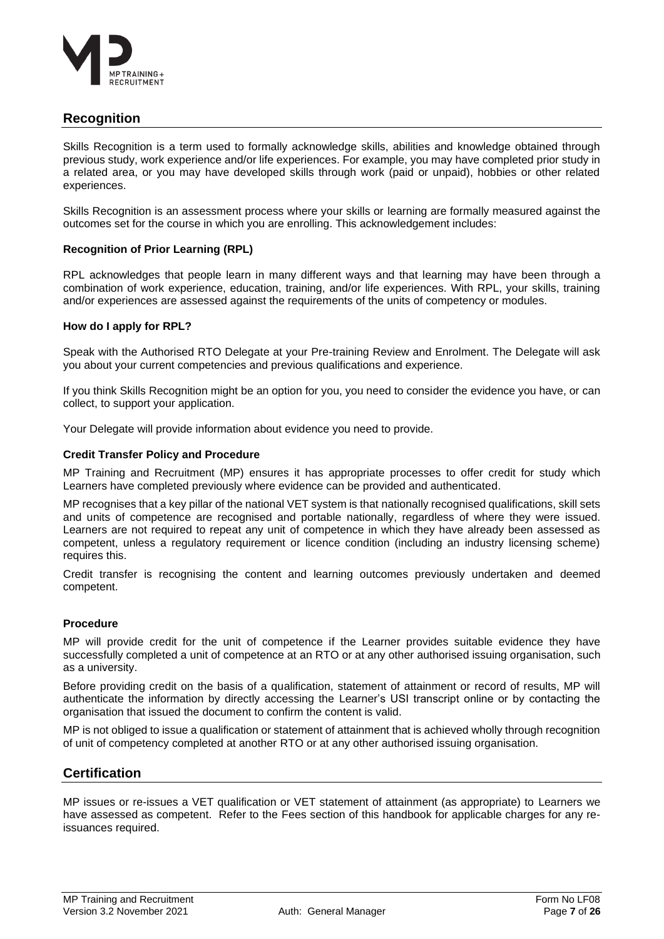

### <span id="page-6-0"></span>**Recognition**

Skills Recognition is a term used to formally acknowledge skills, abilities and knowledge obtained through previous study, work experience and/or life experiences. For example, you may have completed prior study in a related area, or you may have developed skills through work (paid or unpaid), hobbies or other related experiences.

Skills Recognition is an assessment process where your skills or learning are formally measured against the outcomes set for the course in which you are enrolling. This acknowledgement includes:

### **Recognition of Prior Learning (RPL)**

RPL acknowledges that people learn in many different ways and that learning may have been through a combination of work experience, education, training, and/or life experiences. With RPL, your skills, training and/or experiences are assessed against the requirements of the units of competency or modules.

### **How do I apply for RPL?**

Speak with the Authorised RTO Delegate at your Pre-training Review and Enrolment. The Delegate will ask you about your current competencies and previous qualifications and experience.

If you think Skills Recognition might be an option for you, you need to consider the evidence you have, or can collect, to support your application.

Your Delegate will provide information about evidence you need to provide.

### **Credit Transfer Policy and Procedure**

MP Training and Recruitment (MP) ensures it has appropriate processes to offer credit for study which Learners have completed previously where evidence can be provided and authenticated.

MP recognises that a key pillar of the national VET system is that nationally recognised qualifications, skill sets and units of competence are recognised and portable nationally, regardless of where they were issued. Learners are not required to repeat any unit of competence in which they have already been assessed as competent, unless a regulatory requirement or licence condition (including an industry licensing scheme) requires this.

Credit transfer is recognising the content and learning outcomes previously undertaken and deemed competent.

### **Procedure**

MP will provide credit for the unit of competence if the Learner provides suitable evidence they have successfully completed a unit of competence at an RTO or at any other authorised issuing organisation, such as a university.

Before providing credit on the basis of a qualification, statement of attainment or record of results, MP will authenticate the information by directly accessing the Learner's USI transcript online or by contacting the organisation that issued the document to confirm the content is valid.

MP is not obliged to issue a qualification or statement of attainment that is achieved wholly through recognition of unit of competency completed at another RTO or at any other authorised issuing organisation.

### <span id="page-6-1"></span>**Certification**

MP issues or re-issues a VET qualification or VET statement of attainment (as appropriate) to Learners we have assessed as competent. Refer to the Fees section of this handbook for applicable charges for any reissuances required.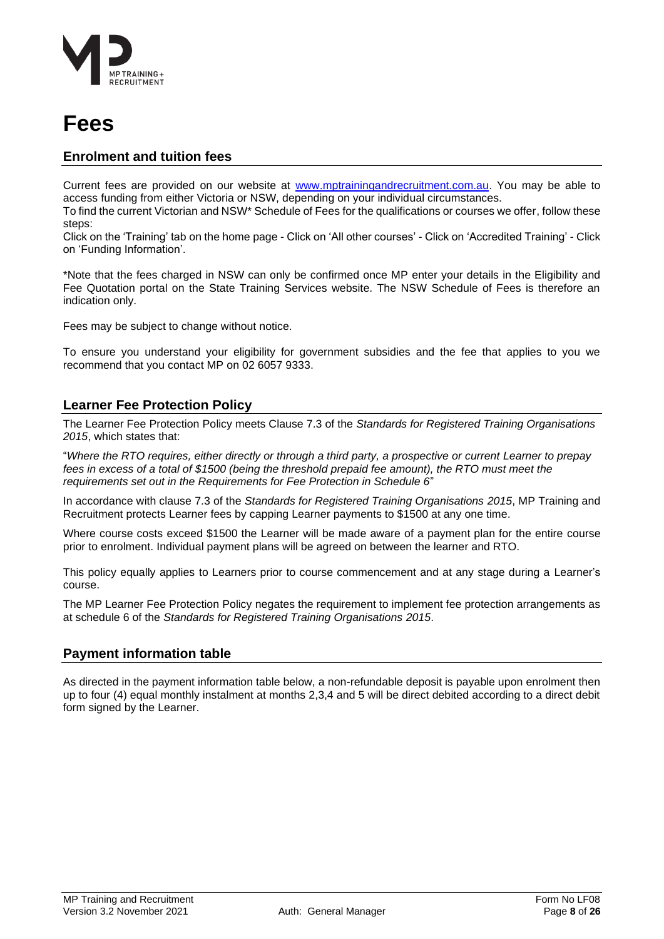

### <span id="page-7-0"></span>**Fees**

### <span id="page-7-1"></span>**Enrolment and tuition fees**

Current fees are provided on our website at [www.mptrainingandrecruitment.com.au.](http://www.mptrainingandrecruitment.com.au/) You may be able to access funding from either Victoria or NSW, depending on your individual circumstances.

To find the current Victorian and NSW\* Schedule of Fees for the qualifications or courses we offer, follow these steps:

Click on the 'Training' tab on the home page - Click on 'All other courses' - Click on 'Accredited Training' - Click on 'Funding Information'.

\*Note that the fees charged in NSW can only be confirmed once MP enter your details in the Eligibility and Fee Quotation portal on the State Training Services website. The NSW Schedule of Fees is therefore an indication only.

Fees may be subject to change without notice.

To ensure you understand your eligibility for government subsidies and the fee that applies to you we recommend that you contact MP on 02 6057 9333.

### <span id="page-7-2"></span>**Learner Fee Protection Policy**

The Learner Fee Protection Policy meets Clause 7.3 of the *Standards for Registered Training Organisations 2015*, which states that:

"*Where the RTO requires, either directly or through a third party, a prospective or current Learner to prepay fees in excess of a total of \$1500 (being the threshold prepaid fee amount), the RTO must meet the requirements set out in the Requirements for Fee Protection in Schedule 6*"

In accordance with clause 7.3 of the *Standards for Registered Training Organisations 2015*, MP Training and Recruitment protects Learner fees by capping Learner payments to \$1500 at any one time.

Where course costs exceed \$1500 the Learner will be made aware of a payment plan for the entire course prior to enrolment. Individual payment plans will be agreed on between the learner and RTO.

This policy equally applies to Learners prior to course commencement and at any stage during a Learner's course.

The MP Learner Fee Protection Policy negates the requirement to implement fee protection arrangements as at schedule 6 of the *Standards for Registered Training Organisations 2015*.

### <span id="page-7-3"></span>**Payment information table**

As directed in the payment information table below, a non-refundable deposit is payable upon enrolment then up to four (4) equal monthly instalment at months 2,3,4 and 5 will be direct debited according to a direct debit form signed by the Learner.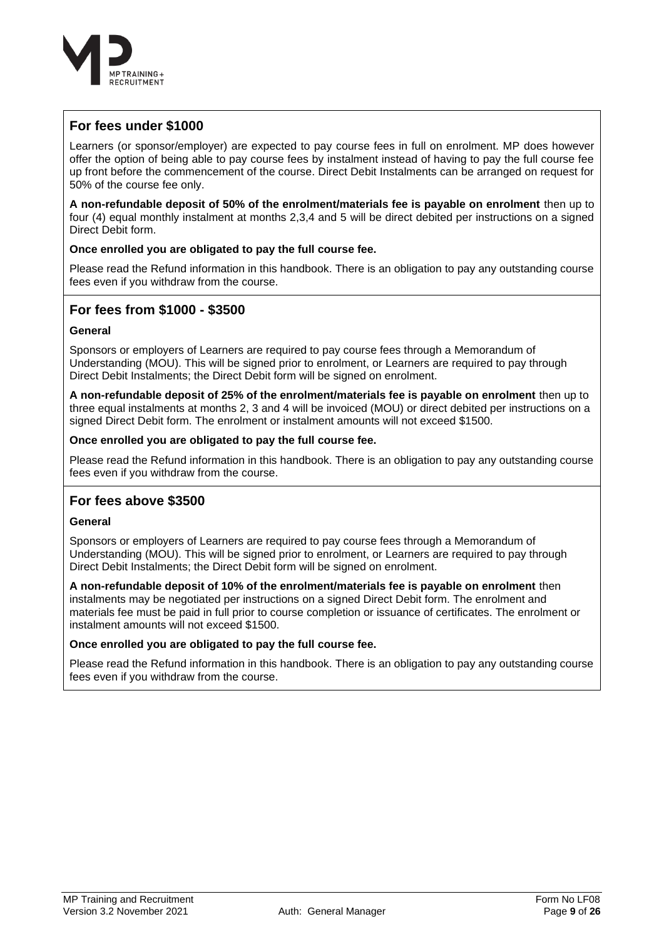

### **For fees under \$1000**

Learners (or sponsor/employer) are expected to pay course fees in full on enrolment. MP does however offer the option of being able to pay course fees by instalment instead of having to pay the full course fee up front before the commencement of the course. Direct Debit Instalments can be arranged on request for 50% of the course fee only.

**A non-refundable deposit of 50% of the enrolment/materials fee is payable on enrolment** then up to four (4) equal monthly instalment at months 2,3,4 and 5 will be direct debited per instructions on a signed Direct Debit form.

### **Once enrolled you are obligated to pay the full course fee.**

Please read the Refund information in this handbook. There is an obligation to pay any outstanding course fees even if you withdraw from the course.

### **For fees from \$1000 - \$3500**

### **General**

Sponsors or employers of Learners are required to pay course fees through a Memorandum of Understanding (MOU). This will be signed prior to enrolment, or Learners are required to pay through Direct Debit Instalments; the Direct Debit form will be signed on enrolment.

**A non-refundable deposit of 25% of the enrolment/materials fee is payable on enrolment** then up to three equal instalments at months 2, 3 and 4 will be invoiced (MOU) or direct debited per instructions on a signed Direct Debit form. The enrolment or instalment amounts will not exceed \$1500.

### **Once enrolled you are obligated to pay the full course fee.**

Please read the Refund information in this handbook. There is an obligation to pay any outstanding course fees even if you withdraw from the course.

### **For fees above \$3500**

### **General**

Sponsors or employers of Learners are required to pay course fees through a Memorandum of Understanding (MOU). This will be signed prior to enrolment, or Learners are required to pay through Direct Debit Instalments; the Direct Debit form will be signed on enrolment.

**A non-refundable deposit of 10% of the enrolment/materials fee is payable on enrolment** then instalments may be negotiated per instructions on a signed Direct Debit form. The enrolment and materials fee must be paid in full prior to course completion or issuance of certificates. The enrolment or instalment amounts will not exceed \$1500.

### **Once enrolled you are obligated to pay the full course fee.**

Please read the Refund information in this handbook. There is an obligation to pay any outstanding course fees even if you withdraw from the course.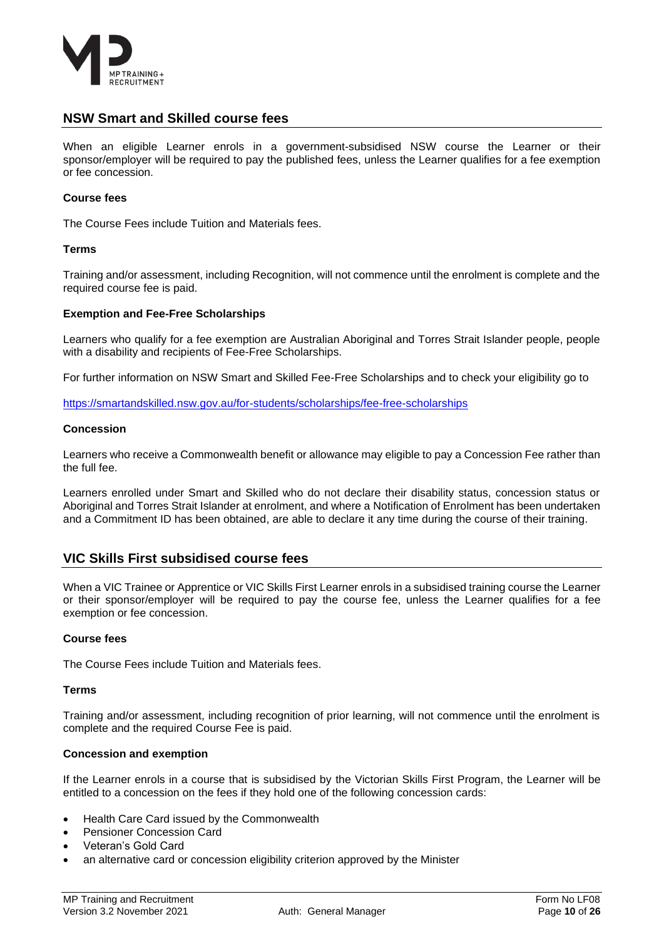

### <span id="page-9-0"></span>**NSW Smart and Skilled course fees**

When an eligible Learner enrols in a government-subsidised NSW course the Learner or their sponsor/employer will be required to pay the published fees, unless the Learner qualifies for a fee exemption or fee concession.

### **Course fees**

The Course Fees include Tuition and Materials fees.

### **Terms**

Training and/or assessment, including Recognition, will not commence until the enrolment is complete and the required course fee is paid.

#### **Exemption and Fee-Free Scholarships**

Learners who qualify for a fee exemption are Australian Aboriginal and Torres Strait Islander people, people with a disability and recipients of Fee-Free Scholarships.

For further information on NSW Smart and Skilled Fee-Free Scholarships and to check your eligibility go to

<https://smartandskilled.nsw.gov.au/for-students/scholarships/fee-free-scholarships>

#### **Concession**

Learners who receive a Commonwealth benefit or allowance may eligible to pay a Concession Fee rather than the full fee.

Learners enrolled under Smart and Skilled who do not declare their disability status, concession status or Aboriginal and Torres Strait Islander at enrolment, and where a Notification of Enrolment has been undertaken and a Commitment ID has been obtained, are able to declare it any time during the course of their training.

### <span id="page-9-1"></span>**VIC Skills First subsidised course fees**

When a VIC Trainee or Apprentice or VIC Skills First Learner enrols in a subsidised training course the Learner or their sponsor/employer will be required to pay the course fee, unless the Learner qualifies for a fee exemption or fee concession.

### **Course fees**

The Course Fees include Tuition and Materials fees.

### **Terms**

Training and/or assessment, including recognition of prior learning, will not commence until the enrolment is complete and the required Course Fee is paid.

### **Concession and exemption**

If the Learner enrols in a course that is subsidised by the Victorian Skills First Program, the Learner will be entitled to a concession on the fees if they hold one of the following concession cards:

- Health Care Card issued by the Commonwealth
- Pensioner Concession Card
- Veteran's Gold Card
- an alternative card or concession eligibility criterion approved by the Minister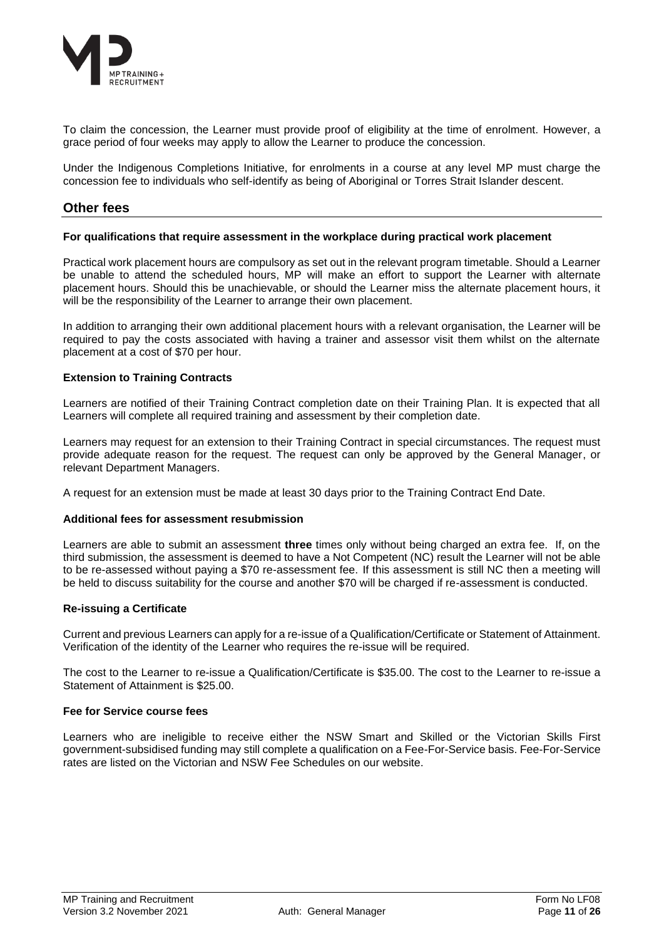

To claim the concession, the Learner must provide proof of eligibility at the time of enrolment. However, a grace period of four weeks may apply to allow the Learner to produce the concession.

Under the Indigenous Completions Initiative, for enrolments in a course at any level MP must charge the concession fee to individuals who self-identify as being of Aboriginal or Torres Strait Islander descent.

### <span id="page-10-0"></span>**Other fees**

#### **For qualifications that require assessment in the workplace during practical work placement**

Practical work placement hours are compulsory as set out in the relevant program timetable. Should a Learner be unable to attend the scheduled hours, MP will make an effort to support the Learner with alternate placement hours. Should this be unachievable, or should the Learner miss the alternate placement hours, it will be the responsibility of the Learner to arrange their own placement.

In addition to arranging their own additional placement hours with a relevant organisation, the Learner will be required to pay the costs associated with having a trainer and assessor visit them whilst on the alternate placement at a cost of \$70 per hour.

### **Extension to Training Contracts**

Learners are notified of their Training Contract completion date on their Training Plan. It is expected that all Learners will complete all required training and assessment by their completion date.

Learners may request for an extension to their Training Contract in special circumstances. The request must provide adequate reason for the request. The request can only be approved by the General Manager, or relevant Department Managers.

A request for an extension must be made at least 30 days prior to the Training Contract End Date.

### **Additional fees for assessment resubmission**

Learners are able to submit an assessment **three** times only without being charged an extra fee. If, on the third submission, the assessment is deemed to have a Not Competent (NC) result the Learner will not be able to be re-assessed without paying a \$70 re-assessment fee. If this assessment is still NC then a meeting will be held to discuss suitability for the course and another \$70 will be charged if re-assessment is conducted.

### **Re-issuing a Certificate**

Current and previous Learners can apply for a re-issue of a Qualification/Certificate or Statement of Attainment. Verification of the identity of the Learner who requires the re-issue will be required.

The cost to the Learner to re-issue a Qualification/Certificate is \$35.00. The cost to the Learner to re-issue a Statement of Attainment is \$25.00.

### **Fee for Service course fees**

Learners who are ineligible to receive either the NSW Smart and Skilled or the Victorian Skills First government-subsidised funding may still complete a qualification on a Fee-For-Service basis. Fee-For-Service rates are listed on the Victorian and NSW Fee Schedules on our website.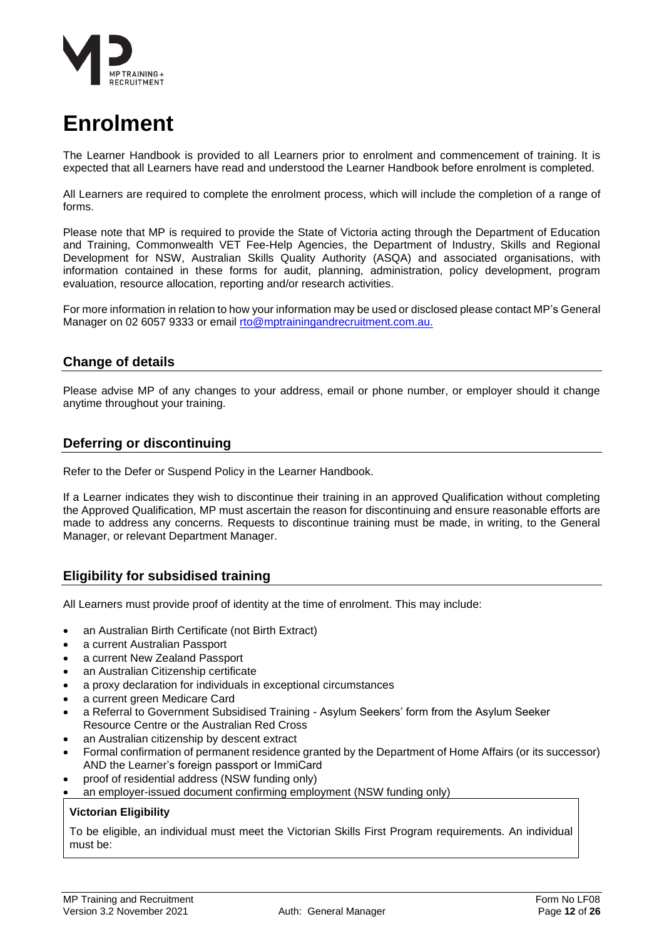

### <span id="page-11-0"></span>**Enrolment**

The Learner Handbook is provided to all Learners prior to enrolment and commencement of training. It is expected that all Learners have read and understood the Learner Handbook before enrolment is completed.

All Learners are required to complete the enrolment process, which will include the completion of a range of forms.

Please note that MP is required to provide the State of Victoria acting through the Department of Education and Training, Commonwealth VET Fee-Help Agencies, the Department of Industry, Skills and Regional Development for NSW, Australian Skills Quality Authority (ASQA) and associated organisations, with information contained in these forms for audit, planning, administration, policy development, program evaluation, resource allocation, reporting and/or research activities.

For more information in relation to how your information may be used or disclosed please contact MP's General Manager on 02 6057 9333 or email [rto@mptrainingandrecruitment.com.au.](mailto:rto@mptrainingandrecruitment.com.au.)

### <span id="page-11-1"></span>**Change of details**

Please advise MP of any changes to your address, email or phone number, or employer should it change anytime throughout your training.

### <span id="page-11-2"></span>**Deferring or discontinuing**

Refer to the Defer or Suspend Policy in the Learner Handbook.

If a Learner indicates they wish to discontinue their training in an approved Qualification without completing the Approved Qualification, MP must ascertain the reason for discontinuing and ensure reasonable efforts are made to address any concerns. Requests to discontinue training must be made, in writing, to the General Manager, or relevant Department Manager.

### <span id="page-11-3"></span>**Eligibility for subsidised training**

All Learners must provide proof of identity at the time of enrolment. This may include:

- an Australian Birth Certificate (not Birth Extract)
- a current Australian Passport
- a current New Zealand Passport
- an Australian Citizenship certificate
- a proxy declaration for individuals in exceptional circumstances
- a current green Medicare Card
- a Referral to Government Subsidised Training Asylum Seekers' form from the Asylum Seeker Resource Centre or the Australian Red Cross
- an Australian citizenship by descent extract
- Formal confirmation of permanent residence granted by the Department of Home Affairs (or its successor) AND the Learner's foreign passport or ImmiCard
- proof of residential address (NSW funding only)
- an employer-issued document confirming employment (NSW funding only)

### **Victorian Eligibility**

To be eligible, an individual must meet the Victorian Skills First Program requirements. An individual must be: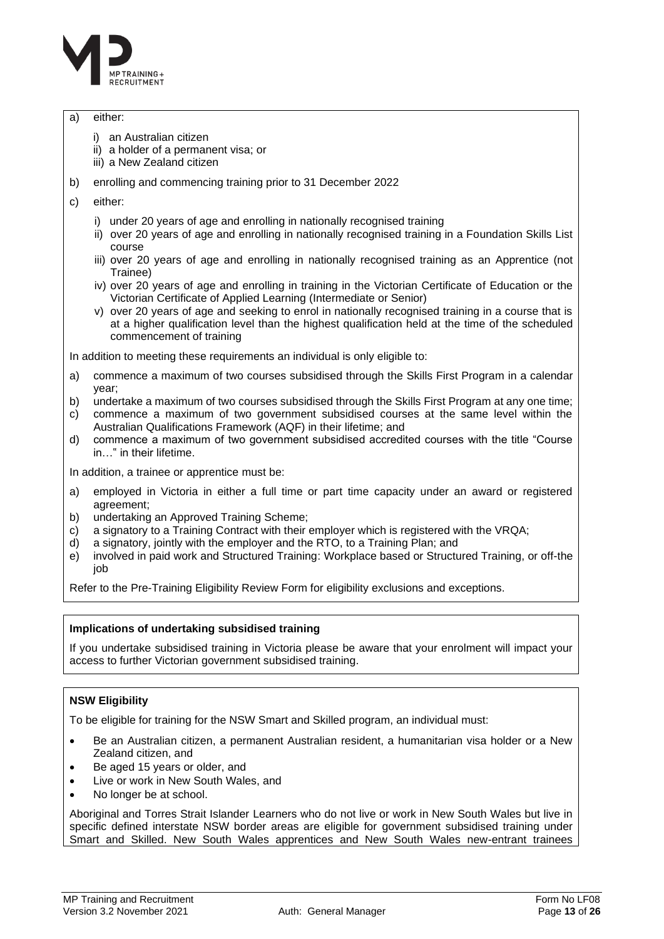

### a) either:

- i) an Australian citizen
- ii) a holder of a permanent visa; or
- iii) a New Zealand citizen
- b) enrolling and commencing training prior to 31 December 2022
- c) either:
	- i) under 20 years of age and enrolling in nationally recognised training
	- ii) over 20 years of age and enrolling in nationally recognised training in a Foundation Skills List course
	- iii) over 20 years of age and enrolling in nationally recognised training as an Apprentice (not Trainee)
	- iv) over 20 years of age and enrolling in training in the Victorian Certificate of Education or the Victorian Certificate of Applied Learning (Intermediate or Senior)
	- v) over 20 years of age and seeking to enrol in nationally recognised training in a course that is at a higher qualification level than the highest qualification held at the time of the scheduled commencement of training

In addition to meeting these requirements an individual is only eligible to:

- a) commence a maximum of two courses subsidised through the Skills First Program in a calendar year;
- b) undertake a maximum of two courses subsidised through the Skills First Program at any one time;
- c) commence a maximum of two government subsidised courses at the same level within the Australian Qualifications Framework (AQF) in their lifetime; and
- d) commence a maximum of two government subsidised accredited courses with the title "Course in…" in their lifetime.

In addition, a trainee or apprentice must be:

- a) employed in Victoria in either a full time or part time capacity under an award or registered agreement;
- b) undertaking an Approved Training Scheme;
- c) a signatory to a Training Contract with their employer which is registered with the VRQA;
- d) a signatory, jointly with the employer and the RTO, to a Training Plan; and
- e) involved in paid work and Structured Training: Workplace based or Structured Training, or off-the job

Refer to the Pre-Training Eligibility Review Form for eligibility exclusions and exceptions.

### **Implications of undertaking subsidised training**

If you undertake subsidised training in Victoria please be aware that your enrolment will impact your access to further Victorian government subsidised training.

### **NSW Eligibility**

To be eligible for training for the NSW Smart and Skilled program, an individual must:

- Be an Australian citizen, a permanent Australian resident, a humanitarian visa holder or a New Zealand citizen, and
- Be aged 15 years or older, and
- Live or work in New South Wales, and
- No longer be at school.

Aboriginal and Torres Strait Islander Learners who do not live or work in New South Wales but live in specific defined interstate NSW border areas are eligible for government subsidised training under Smart and Skilled. New South Wales apprentices and New South Wales new-entrant trainees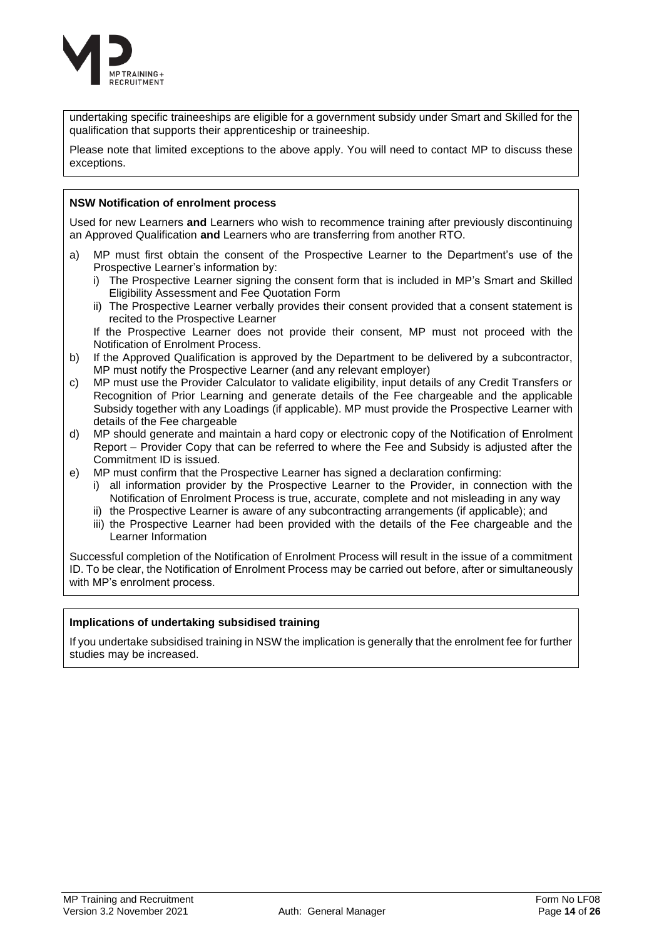

undertaking specific traineeships are eligible for a government subsidy under Smart and Skilled for the qualification that supports their apprenticeship or traineeship.

Please note that limited exceptions to the above apply. You will need to contact MP to discuss these exceptions.

### **NSW Notification of enrolment process**

Used for new Learners **and** Learners who wish to recommence training after previously discontinuing an Approved Qualification **and** Learners who are transferring from another RTO.

- a) MP must first obtain the consent of the Prospective Learner to the Department's use of the Prospective Learner's information by:
	- i) The Prospective Learner signing the consent form that is included in MP's Smart and Skilled Eligibility Assessment and Fee Quotation Form
	- ii) The Prospective Learner verbally provides their consent provided that a consent statement is recited to the Prospective Learner

If the Prospective Learner does not provide their consent, MP must not proceed with the Notification of Enrolment Process.

- b) If the Approved Qualification is approved by the Department to be delivered by a subcontractor, MP must notify the Prospective Learner (and any relevant employer)
- c) MP must use the Provider Calculator to validate eligibility, input details of any Credit Transfers or Recognition of Prior Learning and generate details of the Fee chargeable and the applicable Subsidy together with any Loadings (if applicable). MP must provide the Prospective Learner with details of the Fee chargeable
- d) MP should generate and maintain a hard copy or electronic copy of the Notification of Enrolment Report – Provider Copy that can be referred to where the Fee and Subsidy is adjusted after the Commitment ID is issued.
- e) MP must confirm that the Prospective Learner has signed a declaration confirming:
	- i) all information provider by the Prospective Learner to the Provider, in connection with the Notification of Enrolment Process is true, accurate, complete and not misleading in any way
	- ii) the Prospective Learner is aware of any subcontracting arrangements (if applicable); and
	- iii) the Prospective Learner had been provided with the details of the Fee chargeable and the Learner Information

Successful completion of the Notification of Enrolment Process will result in the issue of a commitment ID. To be clear, the Notification of Enrolment Process may be carried out before, after or simultaneously with MP's enrolment process.

### **Implications of undertaking subsidised training**

If you undertake subsidised training in NSW the implication is generally that the enrolment fee for further studies may be increased.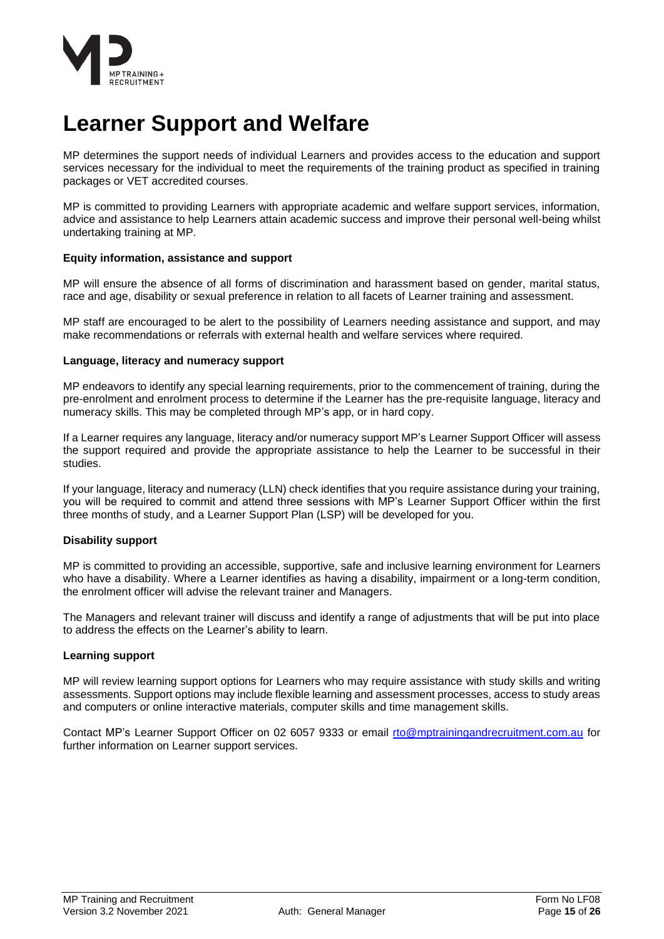

### <span id="page-14-0"></span>**Learner Support and Welfare**

MP determines the support needs of individual Learners and provides access to the education and support services necessary for the individual to meet the requirements of the training product as specified in training packages or VET accredited courses.

MP is committed to providing Learners with appropriate academic and welfare support services, information, advice and assistance to help Learners attain academic success and improve their personal well-being whilst undertaking training at MP.

### <span id="page-14-1"></span>**Equity information, assistance and support**

MP will ensure the absence of all forms of discrimination and harassment based on gender, marital status, race and age, disability or sexual preference in relation to all facets of Learner training and assessment.

MP staff are encouraged to be alert to the possibility of Learners needing assistance and support, and may make recommendations or referrals with external health and welfare services where required.

### <span id="page-14-2"></span>**Language, literacy and numeracy support**

MP endeavors to identify any special learning requirements, prior to the commencement of training, during the pre-enrolment and enrolment process to determine if the Learner has the pre-requisite language, literacy and numeracy skills. This may be completed through MP's app, or in hard copy.

If a Learner requires any language, literacy and/or numeracy support MP's Learner Support Officer will assess the support required and provide the appropriate assistance to help the Learner to be successful in their studies.

If your language, literacy and numeracy (LLN) check identifies that you require assistance during your training, you will be required to commit and attend three sessions with MP's Learner Support Officer within the first three months of study, and a Learner Support Plan (LSP) will be developed for you.

### <span id="page-14-3"></span>**Disability support**

MP is committed to providing an accessible, supportive, safe and inclusive learning environment for Learners who have a disability. Where a Learner identifies as having a disability, impairment or a long-term condition, the enrolment officer will advise the relevant trainer and Managers.

The Managers and relevant trainer will discuss and identify a range of adjustments that will be put into place to address the effects on the Learner's ability to learn.

### <span id="page-14-4"></span>**Learning support**

MP will review learning support options for Learners who may require assistance with study skills and writing assessments. Support options may include flexible learning and assessment processes, access to study areas and computers or online interactive materials, computer skills and time management skills.

Contact MP's Learner Support Officer on 02 6057 9333 or email [rto@mptrainingandrecruitment.com.au](mailto:rto@mptrainingandrecruitment.com.au) for further information on Learner support services.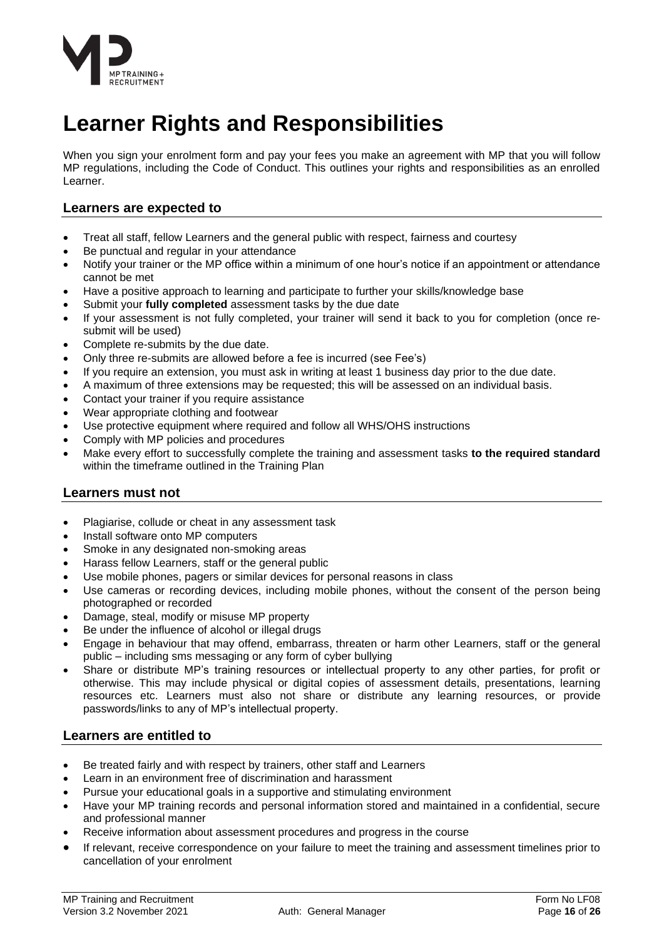

### <span id="page-15-0"></span>**Learner Rights and Responsibilities**

When you sign your enrolment form and pay your fees you make an agreement with MP that you will follow MP regulations, including the Code of Conduct. This outlines your rights and responsibilities as an enrolled Learner.

### <span id="page-15-1"></span>**Learners are expected to**

- Treat all staff, fellow Learners and the general public with respect, fairness and courtesy
- Be punctual and regular in your attendance
- Notify your trainer or the MP office within a minimum of one hour's notice if an appointment or attendance cannot be met
- Have a positive approach to learning and participate to further your skills/knowledge base
- Submit your **fully completed** assessment tasks by the due date
- If your assessment is not fully completed, your trainer will send it back to you for completion (once resubmit will be used)
- Complete re-submits by the due date.
- Only three re-submits are allowed before a fee is incurred (see Fee's)
- If you require an extension, you must ask in writing at least 1 business day prior to the due date.
- A maximum of three extensions may be requested; this will be assessed on an individual basis.
- Contact your trainer if you require assistance
- Wear appropriate clothing and footwear
- Use protective equipment where required and follow all WHS/OHS instructions
- Comply with MP policies and procedures
- Make every effort to successfully complete the training and assessment tasks **to the required standard** within the timeframe outlined in the Training Plan

### <span id="page-15-2"></span>**Learners must not**

- Plagiarise, collude or cheat in any assessment task
- Install software onto MP computers
- Smoke in any designated non-smoking areas
- Harass fellow Learners, staff or the general public
- Use mobile phones, pagers or similar devices for personal reasons in class
- Use cameras or recording devices, including mobile phones, without the consent of the person being photographed or recorded
- Damage, steal, modify or misuse MP property
- Be under the influence of alcohol or illegal drugs
- Engage in behaviour that may offend, embarrass, threaten or harm other Learners, staff or the general public – including sms messaging or any form of cyber bullying
- Share or distribute MP's training resources or intellectual property to any other parties, for profit or otherwise. This may include physical or digital copies of assessment details, presentations, learning resources etc. Learners must also not share or distribute any learning resources, or provide passwords/links to any of MP's intellectual property.

### <span id="page-15-3"></span>**Learners are entitled to**

- Be treated fairly and with respect by trainers, other staff and Learners
- Learn in an environment free of discrimination and harassment
- Pursue your educational goals in a supportive and stimulating environment
- Have your MP training records and personal information stored and maintained in a confidential, secure and professional manner
- Receive information about assessment procedures and progress in the course
- If relevant, receive correspondence on your failure to meet the training and assessment timelines prior to cancellation of your enrolment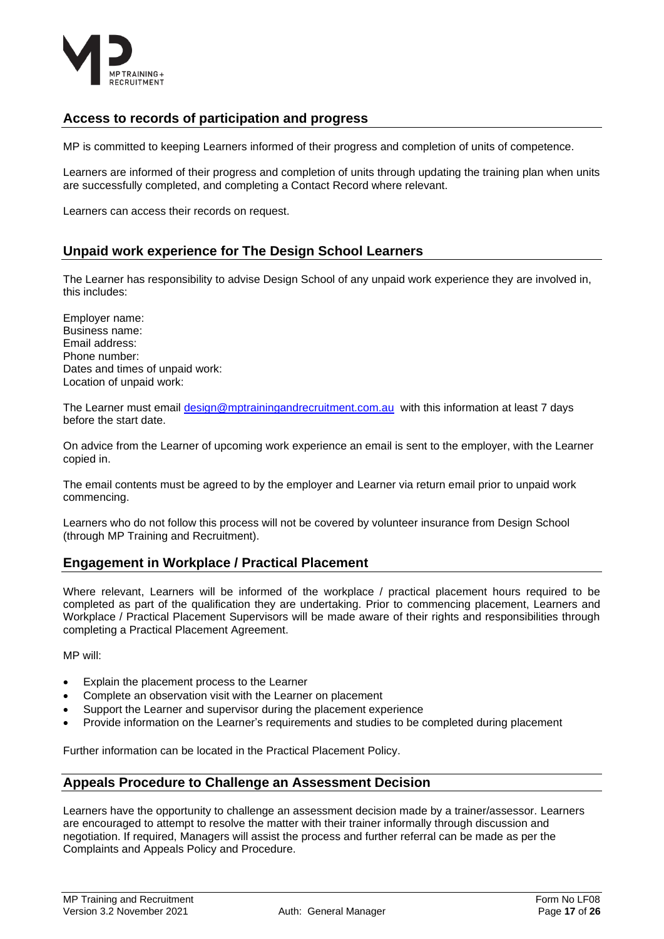

### <span id="page-16-0"></span>**Access to records of participation and progress**

MP is committed to keeping Learners informed of their progress and completion of units of competence.

Learners are informed of their progress and completion of units through updating the training plan when units are successfully completed, and completing a Contact Record where relevant.

Learners can access their records on request.

### <span id="page-16-1"></span>**Unpaid work experience for The Design School Learners**

The Learner has responsibility to advise Design School of any unpaid work experience they are involved in, this includes:

Employer name: Business name: Email address: Phone number: Dates and times of unpaid work: Location of unpaid work:

The Learner must email [design@mptrainingandrecruitment.com.au](mailto:design@mptrainingandrecruitment.com.au) with this information at least 7 days before the start date.

On advice from the Learner of upcoming work experience an email is sent to the employer, with the Learner copied in.

The email contents must be agreed to by the employer and Learner via return email prior to unpaid work commencing.

Learners who do not follow this process will not be covered by volunteer insurance from Design School (through MP Training and Recruitment).

### <span id="page-16-2"></span>**Engagement in Workplace / Practical Placement**

Where relevant, Learners will be informed of the workplace / practical placement hours required to be completed as part of the qualification they are undertaking. Prior to commencing placement, Learners and Workplace / Practical Placement Supervisors will be made aware of their rights and responsibilities through completing a Practical Placement Agreement.

MP will:

- Explain the placement process to the Learner
- Complete an observation visit with the Learner on placement
- Support the Learner and supervisor during the placement experience
- Provide information on the Learner's requirements and studies to be completed during placement

Further information can be located in the Practical Placement Policy.

### <span id="page-16-3"></span>**Appeals Procedure to Challenge an Assessment Decision**

Learners have the opportunity to challenge an assessment decision made by a trainer/assessor. Learners are encouraged to attempt to resolve the matter with their trainer informally through discussion and negotiation. If required, Managers will assist the process and further referral can be made as per the Complaints and Appeals Policy and Procedure.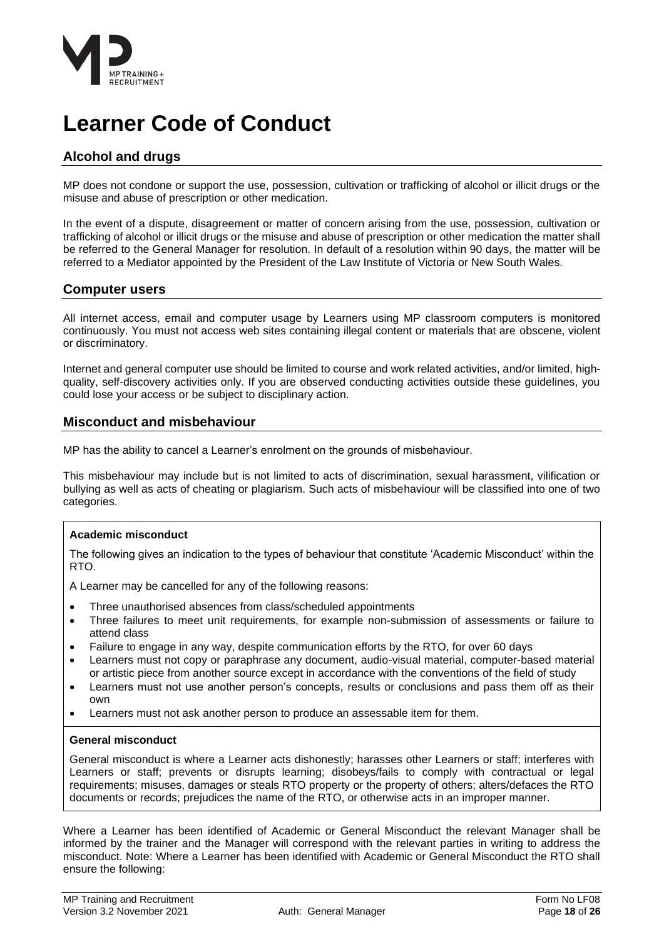

### <span id="page-17-0"></span>**Learner Code of Conduct**

### <span id="page-17-1"></span>**Alcohol and drugs**

MP does not condone or support the use, possession, cultivation or trafficking of alcohol or illicit drugs or the misuse and abuse of prescription or other medication.

In the event of a dispute, disagreement or matter of concern arising from the use, possession, cultivation or trafficking of alcohol or illicit drugs or the misuse and abuse of prescription or other medication the matter shall be referred to the General Manager for resolution. In default of a resolution within 90 days, the matter will be referred to a Mediator appointed by the President of the Law Institute of Victoria or New South Wales.

### <span id="page-17-2"></span>**Computer users**

All internet access, email and computer usage by Learners using MP classroom computers is monitored continuously. You must not access web sites containing illegal content or materials that are obscene, violent or discriminatory.

Internet and general computer use should be limited to course and work related activities, and/or limited, highquality, self-discovery activities only. If you are observed conducting activities outside these guidelines, you could lose your access or be subject to disciplinary action.

### <span id="page-17-3"></span>**Misconduct and misbehaviour**

MP has the ability to cancel a Learner's enrolment on the grounds of misbehaviour.

This misbehaviour may include but is not limited to acts of discrimination, sexual harassment, vilification or bullying as well as acts of cheating or plagiarism. Such acts of misbehaviour will be classified into one of two categories.

### **Academic misconduct**

The following gives an indication to the types of behaviour that constitute 'Academic Misconduct' within the RTO.

A Learner may be cancelled for any of the following reasons:

- Three unauthorised absences from class/scheduled appointments
- Three failures to meet unit requirements, for example non-submission of assessments or failure to attend class
- Failure to engage in any way, despite communication efforts by the RTO, for over 60 days
- Learners must not copy or paraphrase any document, audio-visual material, computer-based material or artistic piece from another source except in accordance with the conventions of the field of study
- Learners must not use another person's concepts, results or conclusions and pass them off as their own
- Learners must not ask another person to produce an assessable item for them.

### **General misconduct**

General misconduct is where a Learner acts dishonestly; harasses other Learners or staff; interferes with Learners or staff; prevents or disrupts learning; disobeys/fails to comply with contractual or legal requirements; misuses, damages or steals RTO property or the property of others; alters/defaces the RTO documents or records; prejudices the name of the RTO, or otherwise acts in an improper manner.

Where a Learner has been identified of Academic or General Misconduct the relevant Manager shall be informed by the trainer and the Manager will correspond with the relevant parties in writing to address the misconduct. Note: Where a Learner has been identified with Academic or General Misconduct the RTO shall ensure the following: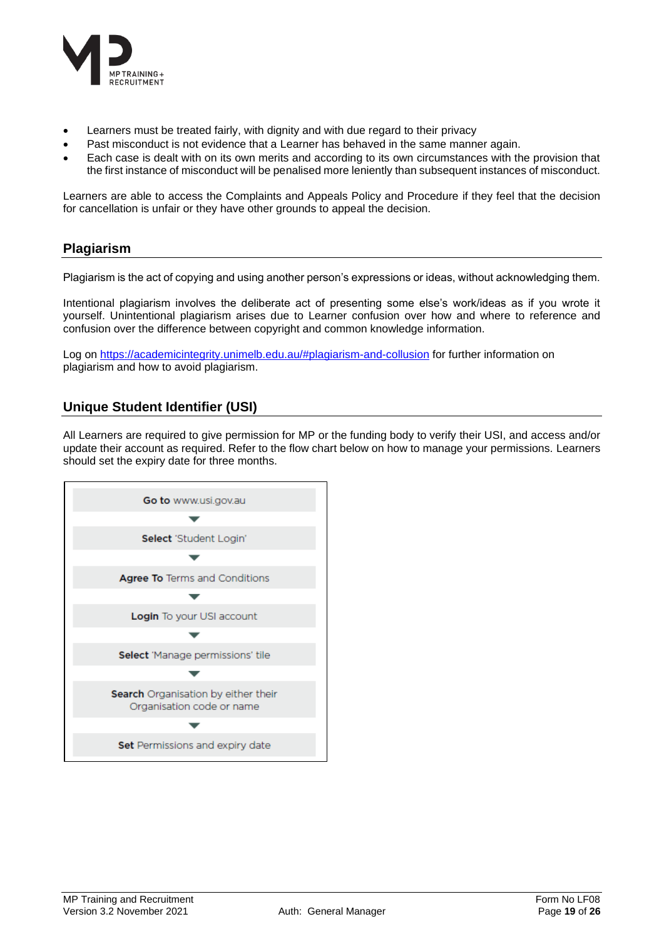

- Learners must be treated fairly, with dignity and with due regard to their privacy
- Past misconduct is not evidence that a Learner has behaved in the same manner again.
- Each case is dealt with on its own merits and according to its own circumstances with the provision that the first instance of misconduct will be penalised more leniently than subsequent instances of misconduct.

Learners are able to access the Complaints and Appeals Policy and Procedure if they feel that the decision for cancellation is unfair or they have other grounds to appeal the decision.

### <span id="page-18-0"></span>**Plagiarism**

Plagiarism is the act of copying and using another person's expressions or ideas, without acknowledging them.

Intentional plagiarism involves the deliberate act of presenting some else's work/ideas as if you wrote it yourself. Unintentional plagiarism arises due to Learner confusion over how and where to reference and confusion over the difference between copyright and common knowledge information.

Log on<https://academicintegrity.unimelb.edu.au/#plagiarism-and-collusion> for further information on plagiarism and how to avoid plagiarism.

### <span id="page-18-1"></span>**Unique Student Identifier (USI)**

All Learners are required to give permission for MP or the funding body to verify their USI, and access and/or update their account as required. Refer to the flow chart below on how to manage your permissions. Learners should set the expiry date for three months.

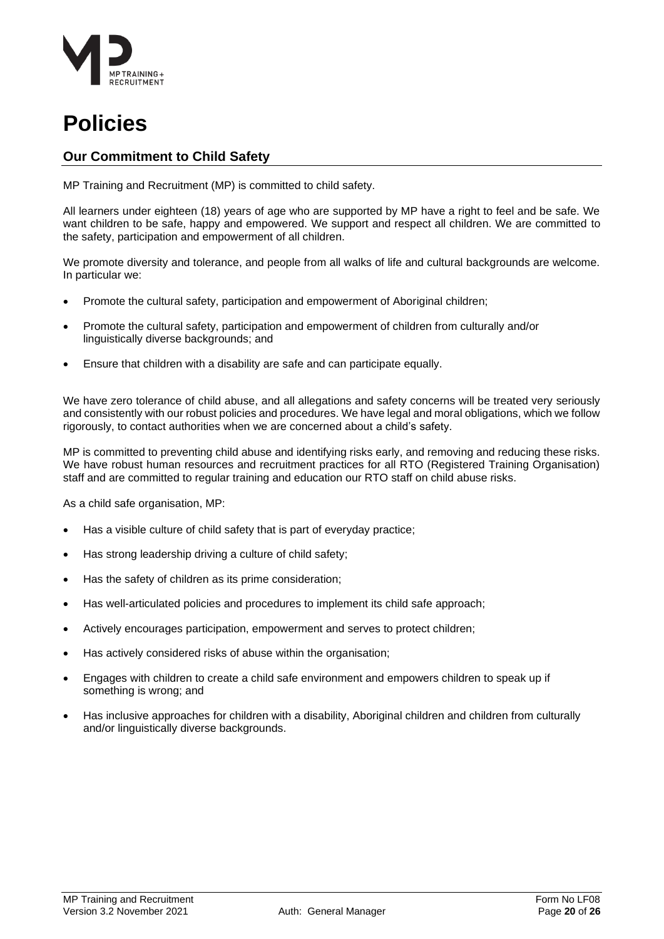

### <span id="page-19-0"></span>**Policies**

### <span id="page-19-1"></span>**Our Commitment to Child Safety**

MP Training and Recruitment (MP) is committed to child safety.

All learners under eighteen (18) years of age who are supported by MP have a right to feel and be safe. We want children to be safe, happy and empowered. We support and respect all children. We are committed to the safety, participation and empowerment of all children.

We promote diversity and tolerance, and people from all walks of life and cultural backgrounds are welcome. In particular we:

- Promote the cultural safety, participation and empowerment of Aboriginal children;
- Promote the cultural safety, participation and empowerment of children from culturally and/or linguistically diverse backgrounds; and
- Ensure that children with a disability are safe and can participate equally.

We have zero tolerance of child abuse, and all allegations and safety concerns will be treated very seriously and consistently with our robust policies and procedures. We have legal and moral obligations, which we follow rigorously, to contact authorities when we are concerned about a child's safety.

MP is committed to preventing child abuse and identifying risks early, and removing and reducing these risks. We have robust human resources and recruitment practices for all RTO (Registered Training Organisation) staff and are committed to regular training and education our RTO staff on child abuse risks.

As a child safe organisation, MP:

- Has a visible culture of child safety that is part of everyday practice;
- Has strong leadership driving a culture of child safety;
- Has the safety of children as its prime consideration;
- Has well-articulated policies and procedures to implement its child safe approach;
- Actively encourages participation, empowerment and serves to protect children;
- Has actively considered risks of abuse within the organisation;
- Engages with children to create a child safe environment and empowers children to speak up if something is wrong; and
- Has inclusive approaches for children with a disability, Aboriginal children and children from culturally and/or linguistically diverse backgrounds.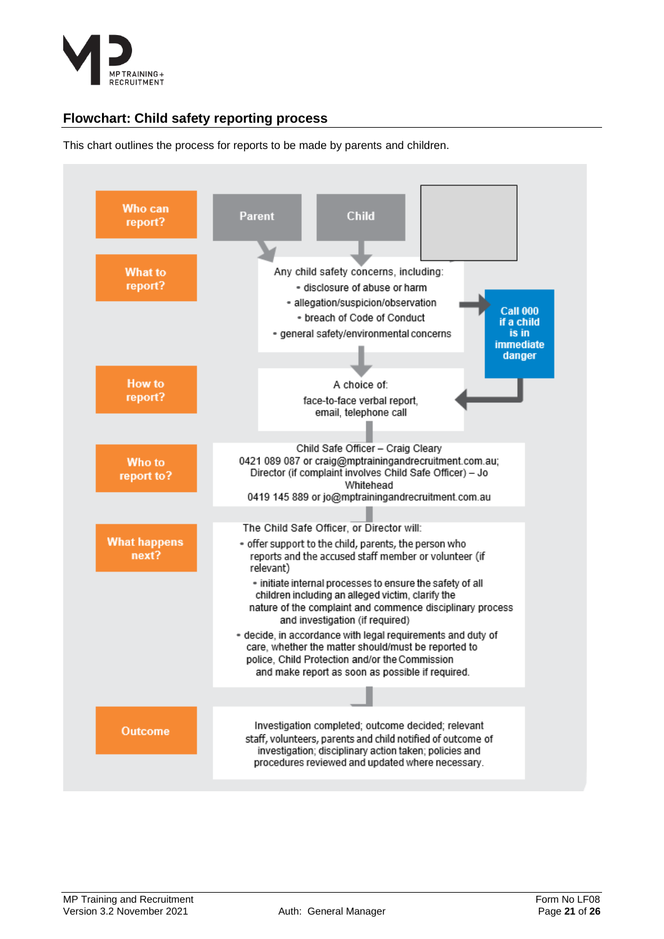

### <span id="page-20-0"></span>**Flowchart: Child safety reporting process**

This chart outlines the process for reports to be made by parents and children.

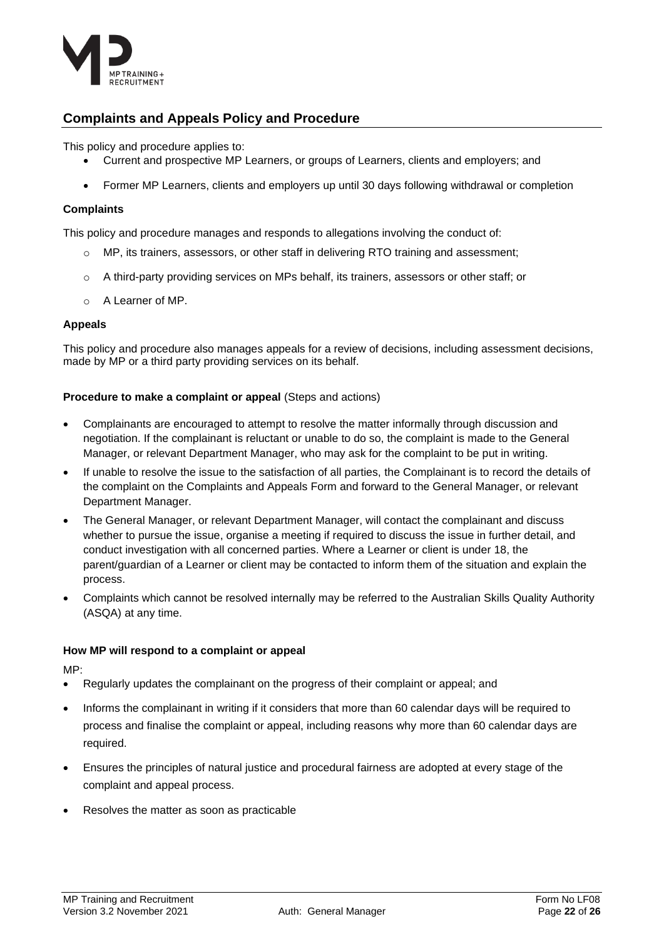

### <span id="page-21-0"></span>**Complaints and Appeals Policy and Procedure**

This policy and procedure applies to:

- Current and prospective MP Learners, or groups of Learners, clients and employers; and
- Former MP Learners, clients and employers up until 30 days following withdrawal or completion

### **Complaints**

This policy and procedure manages and responds to allegations involving the conduct of:

- $\circ$  MP, its trainers, assessors, or other staff in delivering RTO training and assessment;
- o A third-party providing services on MPs behalf, its trainers, assessors or other staff; or
- o A Learner of MP.

### **Appeals**

This policy and procedure also manages appeals for a review of decisions, including assessment decisions, made by MP or a third party providing services on its behalf.

### **Procedure to make a complaint or appeal** (Steps and actions)

- Complainants are encouraged to attempt to resolve the matter informally through discussion and negotiation. If the complainant is reluctant or unable to do so, the complaint is made to the General Manager, or relevant Department Manager, who may ask for the complaint to be put in writing.
- If unable to resolve the issue to the satisfaction of all parties, the Complainant is to record the details of the complaint on the Complaints and Appeals Form and forward to the General Manager, or relevant Department Manager.
- The General Manager, or relevant Department Manager, will contact the complainant and discuss whether to pursue the issue, organise a meeting if required to discuss the issue in further detail, and conduct investigation with all concerned parties. Where a Learner or client is under 18, the parent/guardian of a Learner or client may be contacted to inform them of the situation and explain the process.
- Complaints which cannot be resolved internally may be referred to the Australian Skills Quality Authority (ASQA) at any time.

### **How MP will respond to a complaint or appeal**

MP:

- Regularly updates the complainant on the progress of their complaint or appeal; and
- Informs the complainant in writing if it considers that more than 60 calendar days will be required to process and finalise the complaint or appeal, including reasons why more than 60 calendar days are required.
- Ensures the principles of natural justice and procedural fairness are adopted at every stage of the complaint and appeal process.
- Resolves the matter as soon as practicable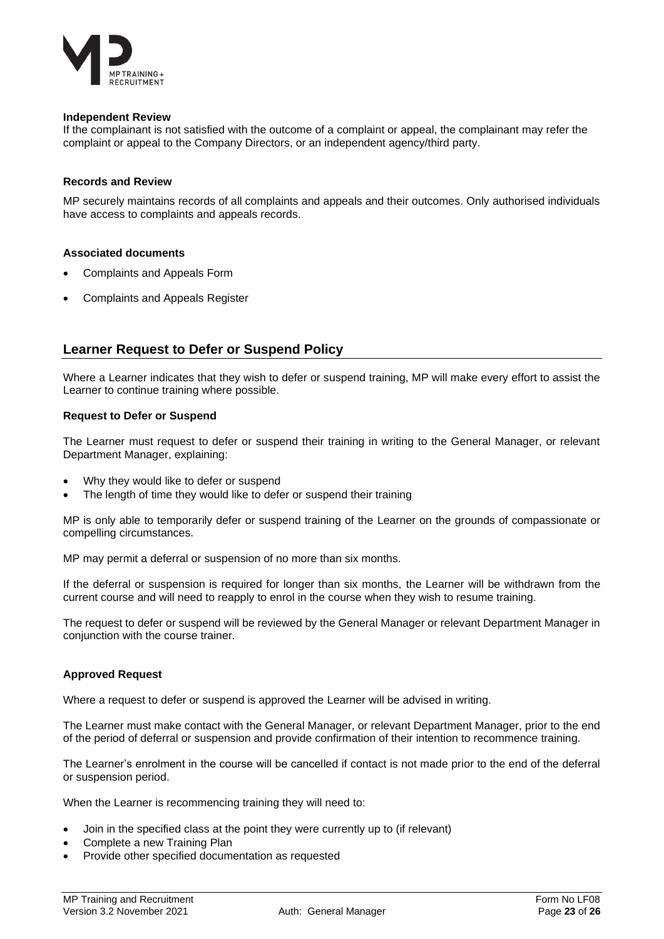

### **Independent Review**

If the complainant is not satisfied with the outcome of a complaint or appeal, the complainant may refer the complaint or appeal to the Company Directors, or an independent agency/third party.

#### **Records and Review**

MP securely maintains records of all complaints and appeals and their outcomes. Only authorised individuals have access to complaints and appeals records.

#### **Associated documents**

- Complaints and Appeals Form
- Complaints and Appeals Register

### <span id="page-22-0"></span>**Learner Request to Defer or Suspend Policy**

Where a Learner indicates that they wish to defer or suspend training, MP will make every effort to assist the Learner to continue training where possible.

### **Request to Defer or Suspend**

The Learner must request to defer or suspend their training in writing to the General Manager, or relevant Department Manager, explaining:

- Why they would like to defer or suspend
- The length of time they would like to defer or suspend their training

MP is only able to temporarily defer or suspend training of the Learner on the grounds of compassionate or compelling circumstances.

MP may permit a deferral or suspension of no more than six months.

If the deferral or suspension is required for longer than six months, the Learner will be withdrawn from the current course and will need to reapply to enrol in the course when they wish to resume training.

The request to defer or suspend will be reviewed by the General Manager or relevant Department Manager in conjunction with the course trainer.

### **Approved Request**

Where a request to defer or suspend is approved the Learner will be advised in writing.

The Learner must make contact with the General Manager, or relevant Department Manager, prior to the end of the period of deferral or suspension and provide confirmation of their intention to recommence training.

The Learner's enrolment in the course will be cancelled if contact is not made prior to the end of the deferral or suspension period.

When the Learner is recommencing training they will need to:

- Join in the specified class at the point they were currently up to (if relevant)
- Complete a new Training Plan
- Provide other specified documentation as requested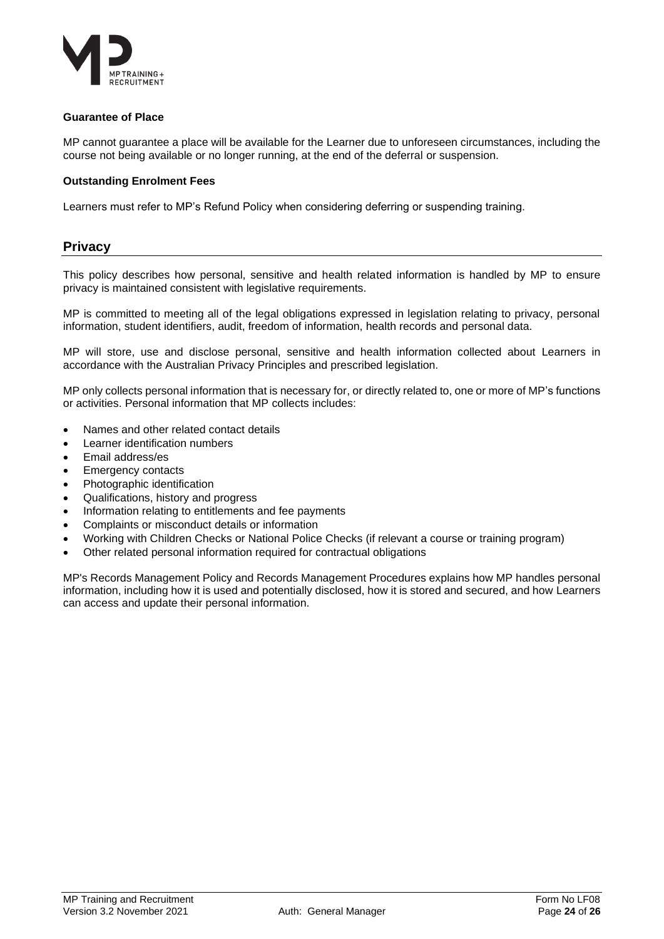

### **Guarantee of Place**

MP cannot guarantee a place will be available for the Learner due to unforeseen circumstances, including the course not being available or no longer running, at the end of the deferral or suspension.

### **Outstanding Enrolment Fees**

Learners must refer to MP's Refund Policy when considering deferring or suspending training.

### <span id="page-23-0"></span>**Privacy**

This policy describes how personal, sensitive and health related information is handled by MP to ensure privacy is maintained consistent with legislative requirements.

MP is committed to meeting all of the legal obligations expressed in legislation relating to privacy, personal information, student identifiers, audit, freedom of information, health records and personal data.

MP will store, use and disclose personal, sensitive and health information collected about Learners in accordance with the Australian Privacy Principles and prescribed legislation.

MP only collects personal information that is necessary for, or directly related to, one or more of MP's functions or activities. Personal information that MP collects includes:

- Names and other related contact details
- Learner identification numbers
- Email address/es
- Emergency contacts
- Photographic identification
- Qualifications, history and progress
- Information relating to entitlements and fee payments
- Complaints or misconduct details or information
- Working with Children Checks or National Police Checks (if relevant a course or training program)
- Other related personal information required for contractual obligations

MP's Records Management Policy and Records Management Procedures explains how MP handles personal information, including how it is used and potentially disclosed, how it is stored and secured, and how Learners can access and update their personal information.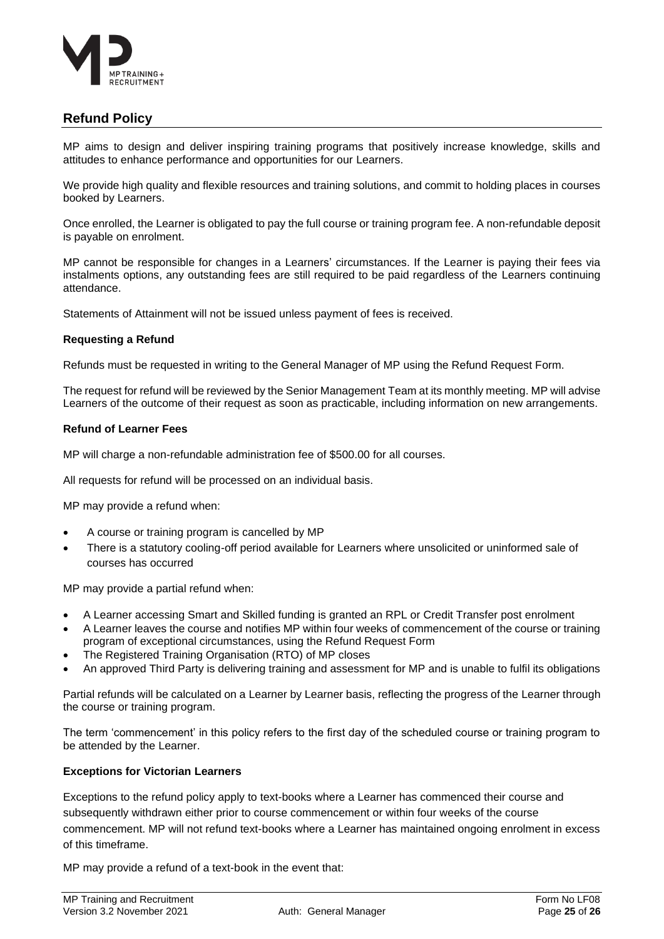

### <span id="page-24-0"></span>**Refund Policy**

MP aims to design and deliver inspiring training programs that positively increase knowledge, skills and attitudes to enhance performance and opportunities for our Learners.

We provide high quality and flexible resources and training solutions, and commit to holding places in courses booked by Learners.

Once enrolled, the Learner is obligated to pay the full course or training program fee. A non-refundable deposit is payable on enrolment.

MP cannot be responsible for changes in a Learners' circumstances. If the Learner is paying their fees via instalments options, any outstanding fees are still required to be paid regardless of the Learners continuing attendance.

Statements of Attainment will not be issued unless payment of fees is received.

### **Requesting a Refund**

Refunds must be requested in writing to the General Manager of MP using the Refund Request Form.

The request for refund will be reviewed by the Senior Management Team at its monthly meeting. MP will advise Learners of the outcome of their request as soon as practicable, including information on new arrangements.

### **Refund of Learner Fees**

MP will charge a non-refundable administration fee of \$500.00 for all courses.

All requests for refund will be processed on an individual basis.

MP may provide a refund when:

- A course or training program is cancelled by MP
- There is a statutory cooling-off period available for Learners where unsolicited or uninformed sale of courses has occurred

MP may provide a partial refund when:

- A Learner accessing Smart and Skilled funding is granted an RPL or Credit Transfer post enrolment
- A Learner leaves the course and notifies MP within four weeks of commencement of the course or training program of exceptional circumstances, using the Refund Request Form
- The Registered Training Organisation (RTO) of MP closes
- An approved Third Party is delivering training and assessment for MP and is unable to fulfil its obligations

Partial refunds will be calculated on a Learner by Learner basis, reflecting the progress of the Learner through the course or training program.

The term 'commencement' in this policy refers to the first day of the scheduled course or training program to be attended by the Learner.

### **Exceptions for Victorian Learners**

Exceptions to the refund policy apply to text-books where a Learner has commenced their course and subsequently withdrawn either prior to course commencement or within four weeks of the course commencement. MP will not refund text-books where a Learner has maintained ongoing enrolment in excess of this timeframe.

MP may provide a refund of a text-book in the event that: